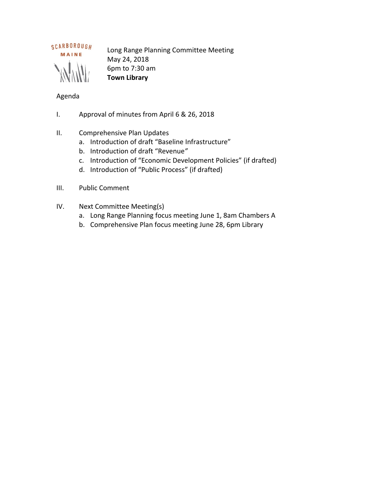

Long Range Planning Committee Meeting May 24, 2018 6pm to 7:30 am **Town Library**

# Agenda

- I. Approval of minutes from April 6 & 26, 2018
- II. Comprehensive Plan Updates
	- a. Introduction of draft "Baseline Infrastructure"
	- b. Introduction of draft "Revenue*"*
	- c. Introduction of "Economic Development Policies" (if drafted)
	- d. Introduction of "Public Process" (if drafted)
- III. Public Comment
- IV. Next Committee Meeting(s)
	- a. Long Range Planning focus meeting June 1, 8am Chambers A
	- b. Comprehensive Plan focus meeting June 28, 6pm Library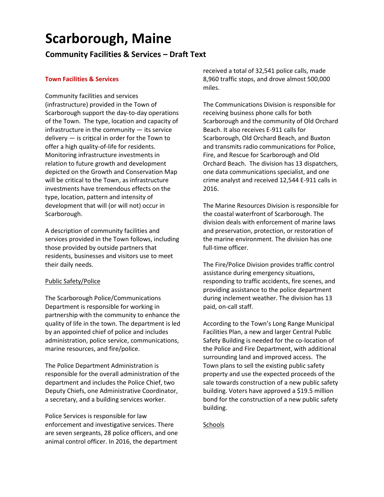# **Scarborough, Maine**

**Community Facilities & Services – Draft Text**

## **Town Facilities & Services**

Community facilities and services (infrastructure) provided in the Town of Scarborough support the day-to-day operations of the Town. The type, location and capacity of infrastructure in the community  $-$  its service delivery  $-$  is critical in order for the Town to offer a high quality-of-life for residents. Monitoring infrastructure investments in relation to future growth and development depicted on the Growth and Conservation Map will be critical to the Town, as infrastructure investments have tremendous effects on the type, location, pattern and intensity of development that will (or will not) occur in Scarborough.

A description of community facilities and services provided in the Town follows, including those provided by outside partners that residents, businesses and visitors use to meet their daily needs.

#### Public Safety/Police

The Scarborough Police/Communications Department is responsible for working in partnership with the community to enhance the quality of life in the town. The department is led by an appointed chief of police and includes administration, police service, communications, marine resources, and fire/police.

The Police Department Administration is responsible for the overall administration of the department and includes the Police Chief, two Deputy Chiefs, one Administrative Coordinator, a secretary, and a building services worker.

Police Services is responsible for law enforcement and investigative services. There are seven sergeants, 28 police officers, and one animal control officer. In 2016, the department received a total of 32,541 police calls, made 8,960 traffic stops, and drove almost 500,000 miles.

The Communications Division is responsible for receiving business phone calls for both Scarborough and the community of Old Orchard Beach. It also receives E-911 calls for Scarborough, Old Orchard Beach, and Buxton and transmits radio communications for Police, Fire, and Rescue for Scarborough and Old Orchard Beach. The division has 13 dispatchers, one data communications specialist, and one crime analyst and received 12,544 E-911 calls in 2016.

The Marine Resources Division is responsible for the coastal waterfront of Scarborough. The division deals with enforcement of marine laws and preservation, protection, or restoration of the marine environment. The division has one full-time officer.

The Fire/Police Division provides traffic control assistance during emergency situations, responding to traffic accidents, fire scenes, and providing assistance to the police department during inclement weather. The division has 13 paid, on-call staff.

According to the Town's Long Range Municipal Facilities Plan, a new and larger Central Public Safety Building is needed for the co-location of the Police and Fire Department, with additional surrounding land and improved access. The Town plans to sell the existing public safety property and use the expected proceeds of the sale towards construction of a new public safety building. Voters have approved a \$19.5 million bond for the construction of a new public safety building.

# **Schools**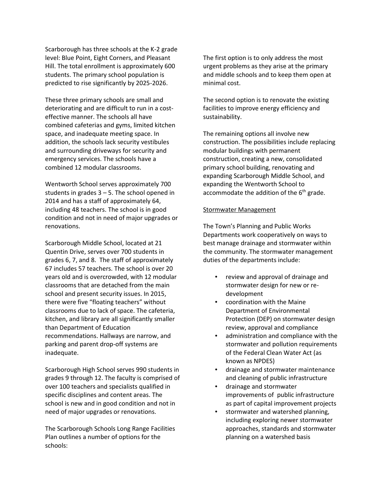Scarborough has three schools at the K-2 grade level: Blue Point, Eight Corners, and Pleasant Hill. The total enrollment is approximately 600 students. The primary school population is predicted to rise significantly by 2025-2026.

These three primary schools are small and deteriorating and are difficult to run in a cost effective manner. The schools all have combined cafeterias and gyms, limited kitchen space, and inadequate meeting space. In addition, the schools lack security vestibules and surrounding driveways for security and emergency services. The schools have a combined 12 modular classrooms.

Wentworth School serves approximately 700 students in grades 3 – 5. The school opened in 2014 and has a staff of approximately 64, including 48 teachers. The school is in good condition and not in need of major upgrades or renovations.

Scarborough Middle School, located at 21 Quentin Drive, serves over 700 students in grades 6, 7, and 8. The staff of approximately 67 includes 57 teachers. The school is over 20 years old and is overcrowded, with 12 modular classrooms that are detached from the main school and present security issues. In 2015, there were five "floating teachers" without classrooms due to lack of space. The cafeteria, kitchen, and library are all significantly smaller than Department of Education recommendations. Hallways are narrow, and parking and parent drop-off systems are inadequate.

Scarborough High School serves 990 students in grades 9 through 12. The faculty is comprised of over 100 teachers and specialists qualified in specific disciplines and content areas. The school is new and in good condition and not in need of major upgrades or renovations.

The Scarborough Schools Long Range Facilities Plan outlines a number of options for the schools:

The first option is to only address the most urgent problems as they arise at the primary and middle schools and to keep them open at minimal cost.

The second option is to renovate the existing facilities to improve energy efficiency and sustainability.

The remaining options all involve new construction. The possibilities include replacing modular buildings with permanent construction, creating a new, consolidated primary school building, renovating and expanding Scarborough Middle School, and expanding the Wentworth School to accommodate the addition of the  $6<sup>th</sup>$  grade.

#### Stormwater Management

The Town's Planning and Public Works Departments work cooperatively on ways to best manage drainage and stormwater within the community. The stormwater management duties of the departments include:

- review and approval of drainage and stormwater design for new or re development
- coordination with the Maine Department of Environmental Protection (DEP) on stormwater design review, approval and compliance
- administration and compliance with the stormwater and pollution requirements of the Federal Clean Water Act (as known as NPDES)
- drainage and stormwater maintenance and cleaning of public infrastructure
- drainage and stormwater improvements of public infrastructure as part of capital improvement projects
- stormwater and watershed planning, including exploring newer stormwater approaches, standards and stormwater planning on a watershed basis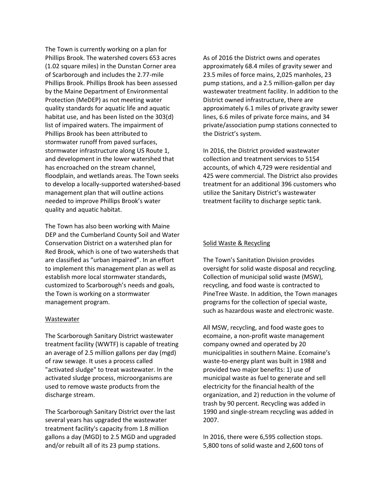The Town is currently working on a plan for Phillips Brook. The watershed covers 653 acres (1.02 square miles) in the Dunstan Corner area of Scarborough and includes the 2.77-mile Phillips Brook. Phillips Brook has been assessed by the Maine Department of Environmental Protection (MeDEP) as not meeting water quality standards for aquatic life and aquatic habitat use, and has been listed on the 303(d) list of impaired waters. The impairment of Phillips Brook has been attributed to stormwater runoff from paved surfaces, stormwater infrastructure along US Route 1, and development in the lower watershed that has encroached on the stream channel, floodplain, and wetlands areas. The Town seeks to develop a locally-supported watershed-based management plan that will outline actions needed to improve Phillips Brook's water quality and aquatic habitat.

The Town has also been working with Maine DEP and the Cumberland County Soil and Water Conservation District on a watershed plan for Red Brook, which is one of two watersheds that are classified as "urban impaired". In an effort to implement this management plan as well as establish more local stormwater standards, customized to Scarborough's needs and goals, the Town is working on a stormwater management program.

#### Wastewater

The Scarborough Sanitary District wastewater treatment facility (WWTF) is capable of treating an average of 2.5 million gallons per day (mgd) of raw sewage. It uses a process called "activated sludge" to treat wastewater. In the activated sludge process, microorganisms are used to remove waste products from the discharge stream.

The Scarborough Sanitary District over the last several years has upgraded the wastewater treatment facility's capacity from 1.8 million gallons a day (MGD) to 2.5 MGD and upgraded and/or rebuilt all of its 23 pump stations.

As of 2016 the District owns and operates approximately 68.4 miles of gravity sewer and 23.5 miles of force mains, 2,025 manholes, 23 pump stations, and a 2.5 million-gallon per day wastewater treatment facility. In addition to the District owned infrastructure, there are approximately 6.1 miles of private gravity sewer lines, 6.6 miles of private force mains, and 34 private/association pump stations connected to the District's system.

In 2016, the District provided wastewater collection and treatment services to 5154 accounts, of which 4,729 were residential and 425 were commercial. The District also provides treatment for an additional 396 customers who utilize the Sanitary District's wastewater treatment facility to discharge septic tank.

#### Solid Waste & Recycling

The Town's Sanitation Division provides oversight for solid waste disposal and recycling. Collection of municipal solid waste (MSW), recycling, and food waste is contracted to PineTree Waste. In addition, the Town manages programs for the collection of special waste, such as hazardous waste and electronic waste.

All MSW, recycling, and food waste goes to ecomaine, a non-profit waste management company owned and operated by 20 municipalities in southern Maine. Ecomaine's waste-to-energy plant was built in 1988 and provided two major benefits: 1) use of municipal waste as fuel to generate and sell electricity for the financial health of the organization, and 2) reduction in the volume of trash by 90 percent. Recycling was added in 1990 and single-stream recycling was added in 2007.

In 2016, there were 6,595 collection stops. 5,800 tons of solid waste and 2,600 tons of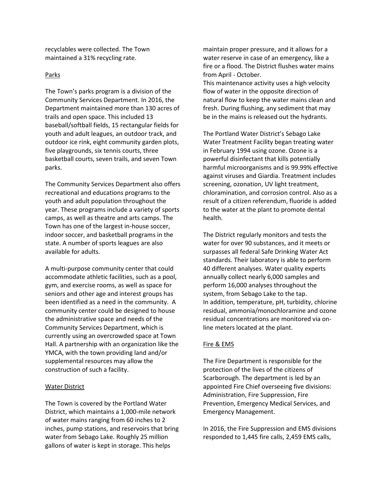recyclables were collected. The Town maintained a 31% recycling rate.

#### Parks

The Town's parks program is a division of the Community Services Department. In 2016, the Department maintained more than 130 acres of trails and open space. This included 13 baseball/softball fields, 15 rectangular fields for youth and adult leagues, an outdoor track, and outdoor ice rink, eight community garden plots, five playgrounds, six tennis courts, three basketball courts, seven trails, and seven Town parks.

The Community Services Department also offers recreational and educations programs to the youth and adult population throughout the year. These programs include a variety of sports camps, as well as theatre and arts camps. The Town has one of the largest in-house soccer, indoor soccer, and basketball programs in the state. A number of sports leagues are also available for adults.

A multi-purpose community center that could accommodate athletic facilities, such as a pool, gym, and exercise rooms, as well as space for seniors and other age and interest groups has been identified as a need in the community. A community center could be designed to house the administrative space and needs of the Community Services Department, which is currently using an overcrowded space at Town Hall. A partnership with an organization like the YMCA, with the town providing land and/or supplemental resources may allow the construction of such a facility.

#### Water District

The Town is covered by the Portland Water District, which maintains a 1,000-mile network of water mains ranging from 60 inches to 2 inches, pump stations, and reservoirs that bring water from Sebago Lake. Roughly 25 million gallons of water is kept in storage. This helps

maintain proper pressure, and it allows for a water reserve in case of an emergency, like a fire or a flood. The District flushes water mains from April - October.

This maintenance activity uses a high velocity flow of water in the opposite direction of natural flow to keep the water mains clean and fresh. During flushing, any sediment that may be in the mains is released out the hydrants.

The Portland Water District's Sebago Lake Water Treatment Facility began treating water in February 1994 using ozone. Ozone is a powerful disinfectant that kills potentially harmful microorganisms and is 99.99% effective against viruses and Giardia. Treatment includes screening, ozonation, UV light treatment, chloramination, and corrosion control. Also as a result of a citizen referendum, fluoride is added to the water at the plant to promote dental health.

The District regularly monitors and tests the water for over 90 substances, and it meets or surpasses all federal Safe Drinking Water Act standards. Their laboratory is able to perform 40 different analyses. Water quality experts annually collect nearly 6,000 samples and perform 16,000 analyses throughout the system, from Sebago Lake to the tap. In addition, temperature, pH, turbidity, chlorine residual, ammonia/monochloramine and ozone residual concentrations are monitored via online meters located at the plant.

#### Fire & EMS

The Fire Department is responsible for the protection of the lives of the citizens of Scarborough. The department is led by an appointed Fire Chief overseeing five divisions: Administration, Fire Suppression, Fire Prevention, Emergency Medical Services, and Emergency Management.

In 2016, the Fire Suppression and EMS divisions responded to 1,445 fire calls, 2,459 EMS calls,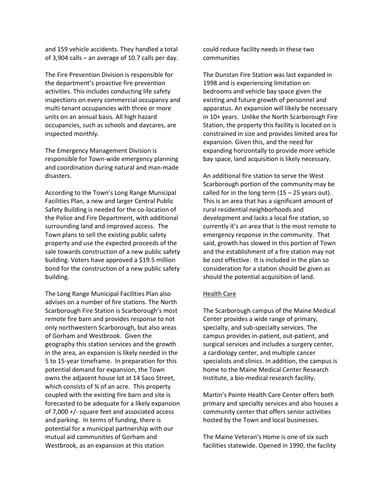and 159 vehicle accidents. They handled a total of 3,904 calls – an average of 10.7 calls per day.

The Fire Prevention Division is responsible for the department's proactive fire prevention activities. This includes conducting life safety inspections on every commercial occupancy and multi-tenant occupancies with three or more units on an annual basis. All high hazard occupancies, such as schools and daycares, are inspected monthly.

The Emergency Management Division is responsible for Town-wide emergency planning and coordination during natural and man-made disasters.

According to the Town's Long Range Municipal Facilities Plan, a new and larger Central Public Safety Building is needed for the co-location of the Police and Fire Department, with additional surrounding land and improved access. The Town plans to sell the existing public safety property and use the expected proceeds of the sale towards construction of a new public safety building. Voters have approved a \$19.5 million bond for the construction of a new public safety building.

The Long Range Municipal Facilities Plan also advises on a number of fire stations. The North Scarborough Fire Station is Scarborough's most remote fire barn and provides response to not only northwestern Scarborough, but also areas of Gorham and Westbrook. Given the geography this station services and the growth in the area, an expansion is likely needed in the 5 to 15-year timeframe. In preparation for this potential demand for expansion, the Town owns the adjacent house lot at 14 Saco Street, which consists of % of an acre. This property coupled with the existing fire barn and site is forecasted to be adequate for a likely expansion of 7,000 +/- square feet and associated access and parking. In terms of funding, there is potential for a municipal partnership with our mutual aid communities of Gorham and Westbrook, as an expansion at this station

could reduce facility needs in these two communities

The Dunstan Fire Station was last expanded in 1998 and is experiencing limitation on bedrooms and vehicle bay space given the existing and future growth of personnel and apparatus. An expansion will likely be necessary in 10+ years. Unlike the North Scarborough Fire Station, the property this facility is located on is constrained in size and provides limited area for expansion. Given this, and the need for expanding horizontally to provide more vehicle bay space, land acquisition is likely necessary.

An additional fire station to serve the West Scarborough portion of the community may be called for in the long term  $(15 - 25$  years out). This is an area that has a significant amount of rural residential neighborhoods and development and lacks a local fire station, so currently it's an area that is the most remote to emergency response in the community. That said, growth has slowed in this portion of Town and the establishment of a fire station may not be cost effective. It is included in the plan so consideration for a station should be given as should the potential acquisition of land.

#### Health Care

The Scarborough campus of the Maine Medical Center provides a wide range of primary, specialty, and sub-specialty services. The campus provides in-patient, out-patient, and surgical services and includes a surgery center, a cardiology center, and multiple cancer specialists and clinics. In addition, the campus is home to the Maine Medical Center Research Institute, a bio-medical research facility.

Martin's Pointe Health Care Center offers both primary and specialty services and also houses a community center that offers senior activities hosted by the Town and local businesses.

The Maine Veteran's Home is one of six such facilities statewide. Opened in 1990, the facility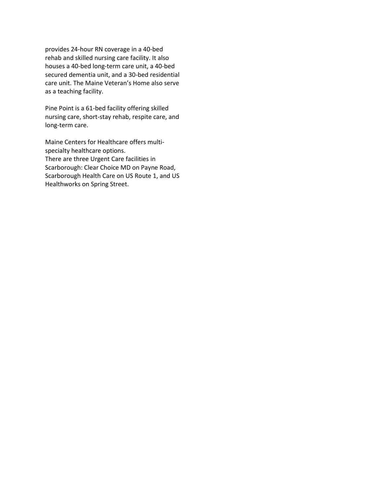provides 24-hour RN coverage in a 40-bed rehab and skilled nursing care facility. It also houses a 40-bed long-term care unit, a 40-bed secured dementia unit, and a 30-bed residential care unit. The Maine Veteran's Home also serve as a teaching facility.

Pine Point is a 61-bed facility offering skilled nursing care, short-stay rehab, respite care, and long-term care.

Maine Centers for Healthcare offers multi specialty healthcare options. There are three Urgent Care facilities in Scarborough: Clear Choice MD on Payne Road, Scarborough Health Care on US Route 1, and US Healthworks on Spring Street.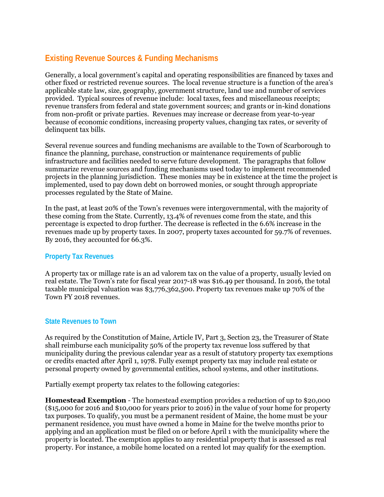# **Existing Revenue Sources & Funding Mechanisms**

Generally, a local government's capital and operating responsibilities are financed by taxes and other fixed or restricted revenue sources. The local revenue structure is a function of the area's applicable state law, size, geography, government structure, land use and number of services provided. Typical sources of revenue include: local taxes, fees and miscellaneous receipts; revenue transfers from federal and state government sources; and grants or in-kind donations from non-profit or private parties. Revenues may increase or decrease from year-to-year because of economic conditions, increasing property values, changing tax rates, or severity of delinquent tax bills.

Several revenue sources and funding mechanisms are available to the Town of Scarborough to finance the planning, purchase, construction or maintenance requirements of public infrastructure and facilities needed to serve future development. The paragraphs that follow summarize revenue sources and funding mechanisms used today to implement recommended projects in the planning jurisdiction. These monies may be in existence at the time the project is implemented, used to pay down debt on borrowed monies, or sought through appropriate processes regulated by the State of Maine.

In the past, at least 20% of the Town's revenues were intergovernmental, with the majority of these coming from the State. Currently, 13.4% of revenues come from the state, and this percentage is expected to drop further. The decrease is reflected in the 6.6% increase in the revenues made up by property taxes. In 2007, property taxes accounted for 59.7% of revenues. By 2016, they accounted for 66.3%.

# **Property Tax Revenues**

A property tax or millage rate is an ad valorem tax on the value of a property, usually levied on real estate. The Town's rate for fiscal year 2017-18 was \$16.49 per thousand. In 2016, the total taxable municipal valuation was \$3,776,362,500. Property tax revenues make up 70% of the Town FY 2018 revenues.

# **State Revenues to Town**

As required by the Constitution of Maine, Article IV, Part 3, Section 23, the Treasurer of State shall reimburse each municipality 50% of the property tax revenue loss suffered by that municipality during the previous calendar year as a result of statutory property tax exemptions or credits enacted after April 1, 1978. Fully exempt property tax may include real estate or personal property owned by governmental entities, school systems, and other institutions.

Partially exempt property tax relates to the following categories:

**Homestead Exemption** - The homestead exemption provides a reduction of up to \$20,000 (\$15,000 for 2016 and \$10,000 for years prior to 2016) in the value of your home for property tax purposes. To qualify, you must be a permanent resident of Maine, the home must be your permanent residence, you must have owned a home in Maine for the twelve months prior to applying and an application must be filed on or before April 1 with the municipality where the property is located. The exemption applies to any residential property that is assessed as real property. For instance, a mobile home located on a rented lot may qualify for the exemption.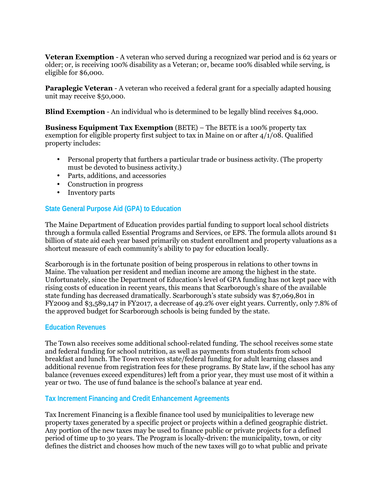**Veteran Exemption** - A veteran who served during a recognized war period and is 62 years or older; or, is receiving 100% disability as a Veteran; or, became 100% disabled while serving, is eligible for \$6,000.

**Paraplegic Veteran** - A veteran who received a federal grant for a specially adapted housing unit may receive \$50,000.

**Blind Exemption** - An individual who is determined to be legally blind receives \$4,000.

**Business Equipment Tax Exemption** (BETE) – The BETE is a 100% property tax exemption for eligible property first subject to tax in Maine on or after 4/1/08. Qualified property includes:

- Personal property that furthers a particular trade or business activity. (The property must be devoted to business activity.)
- Parts, additions, and accessories
- Construction in progress
- Inventory parts

### **State General Purpose Aid (GPA) to Education**

The Maine Department of Education provides partial funding to support local school districts through a formula called Essential Programs and Services, or EPS. The formula allots around \$1 billion of state aid each year based primarily on student enrollment and property valuations as a shortcut measure of each community's ability to pay for education locally.

Scarborough is in the fortunate position of being prosperous in relations to other towns in Maine. The valuation per resident and median income are among the highest in the state. Unfortunately, since the Department of Education's level of GPA funding has not kept pace with rising costs of education in recent years, this means that Scarborough's share of the available state funding has decreased dramatically. Scarborough's state subsidy was \$7,069,801 in FY2009 and \$3,589,147 in FY2017, a decrease of 49.2% over eight years. Currently, only 7.8% of the approved budget for Scarborough schools is being funded by the state.

#### **Education Revenues**

The Town also receives some additional school-related funding. The school receives some state and federal funding for school nutrition, as well as payments from students from school breakfast and lunch. The Town receives state/federal funding for adult learning classes and additional revenue from registration fees for these programs. By State law, if the school has any balance (revenues exceed expenditures) left from a prior year, they must use most of it within a year or two. The use of fund balance is the school's balance at year end.

#### **Tax Increment Financing and Credit Enhancement Agreements**

Tax Increment Financing is a flexible finance tool used by municipalities to leverage new property taxes generated by a specific project or projects within a defined geographic district. Any portion of the new taxes may be used to finance public or private projects for a defined period of time up to 30 years. The Program is locally-driven: the municipality, town, or city defines the district and chooses how much of the new taxes will go to what public and private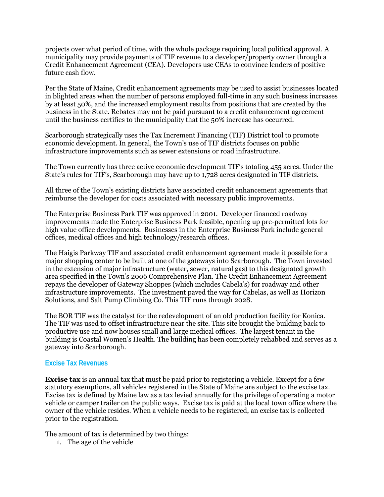projects over what period of time, with the whole package requiring local political approval. A municipality may provide payments of TIF revenue to a developer/property owner through a Credit Enhancement Agreement (CEA). Developers use CEAs to convince lenders of positive future cash flow.

Per the State of Maine, Credit enhancement agreements may be used to assist businesses located in blighted areas when the number of persons employed full-time in any such business increases by at least 50%, and the increased employment results from positions that are created by the business in the State. Rebates may not be paid pursuant to a credit enhancement agreement until the business certifies to the municipality that the 50% increase has occurred.

Scarborough strategically uses the Tax Increment Financing (TIF) District tool to promote economic development. In general, the Town's use of TIF districts focuses on public infrastructure improvements such as sewer extensions or road infrastructure.

The Town currently has three active economic development TIF's totaling 455 acres. Under the State's rules for TIF's, Scarborough may have up to 1,728 acres designated in TIF districts.

All three of the Town's existing districts have associated credit enhancement agreements that reimburse the developer for costs associated with necessary public improvements.

The Enterprise Business Park TIF was approved in 2001. Developer financed roadway improvements made the Enterprise Business Park feasible, opening up pre-permitted lots for high value office developments. Businesses in the Enterprise Business Park include general offices, medical offices and high technology/research offices.

The Haigis Parkway TIF and associated credit enhancement agreement made it possible for a major shopping center to be built at one of the gateways into Scarborough. The Town invested in the extension of major infrastructure (water, sewer, natural gas) to this designated growth area specified in the Town's 2006 Comprehensive Plan. The Credit Enhancement Agreement repays the developer of Gateway Shoppes (which includes Cabela's) for roadway and other infrastructure improvements. The investment paved the way for Cabelas, as well as Horizon Solutions, and Salt Pump Climbing Co. This TIF runs through 2028.

The BOR TIF was the catalyst for the redevelopment of an old production facility for Konica. The TIF was used to offset infrastructure near the site. This site brought the building back to productive use and now houses small and large medical offices. The largest tenant in the building is Coastal Women's Health. The building has been completely rehabbed and serves as a gateway into Scarborough.

# **Excise Tax Revenues**

**Excise tax** is an annual tax that must be paid prior to registering a vehicle. Except for a few statutory exemptions, all vehicles registered in the State of Maine are subject to the excise tax. Excise tax is defined by Maine law as a tax levied annually for the privilege of operating a motor vehicle or camper trailer on the public ways. Excise tax is paid at the local town office where the owner of the vehicle resides. When a vehicle needs to be registered, an excise tax is collected prior to the registration.

The amount of tax is determined by two things:

1. The age of the vehicle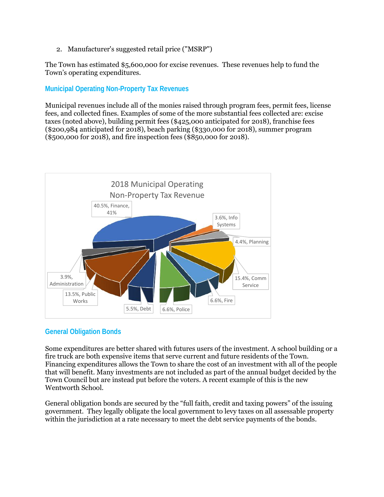2. Manufacturer's suggested retail price ("MSRP")

The Town has estimated \$5,600,000 for excise revenues. These revenues help to fund the Town's operating expenditures.

# **Municipal Operating Non-Property Tax Revenues**

Municipal revenues include all of the monies raised through program fees, permit fees, license fees, and collected fines. Examples of some of the more substantial fees collected are: excise taxes (noted above), building permit fees (\$425,000 anticipated for 2018), franchise fees (\$200,984 anticipated for 2018), beach parking (\$330,000 for 2018), summer program (\$500,000 for 2018), and fire inspection fees (\$850,000 for 2018).



# **General Obligation Bonds**

Some expenditures are better shared with futures users of the investment. A school building or a fire truck are both expensive items that serve current and future residents of the Town. Financing expenditures allows the Town to share the cost of an investment with all of the people that will benefit. Many investments are not included as part of the annual budget decided by the Town Council but are instead put before the voters. A recent example of this is the new Wentworth School.

General obligation bonds are secured by the "full faith, credit and taxing powers" of the issuing government. They legally obligate the local government to levy taxes on all assessable property within the jurisdiction at a rate necessary to meet the debt service payments of the bonds.